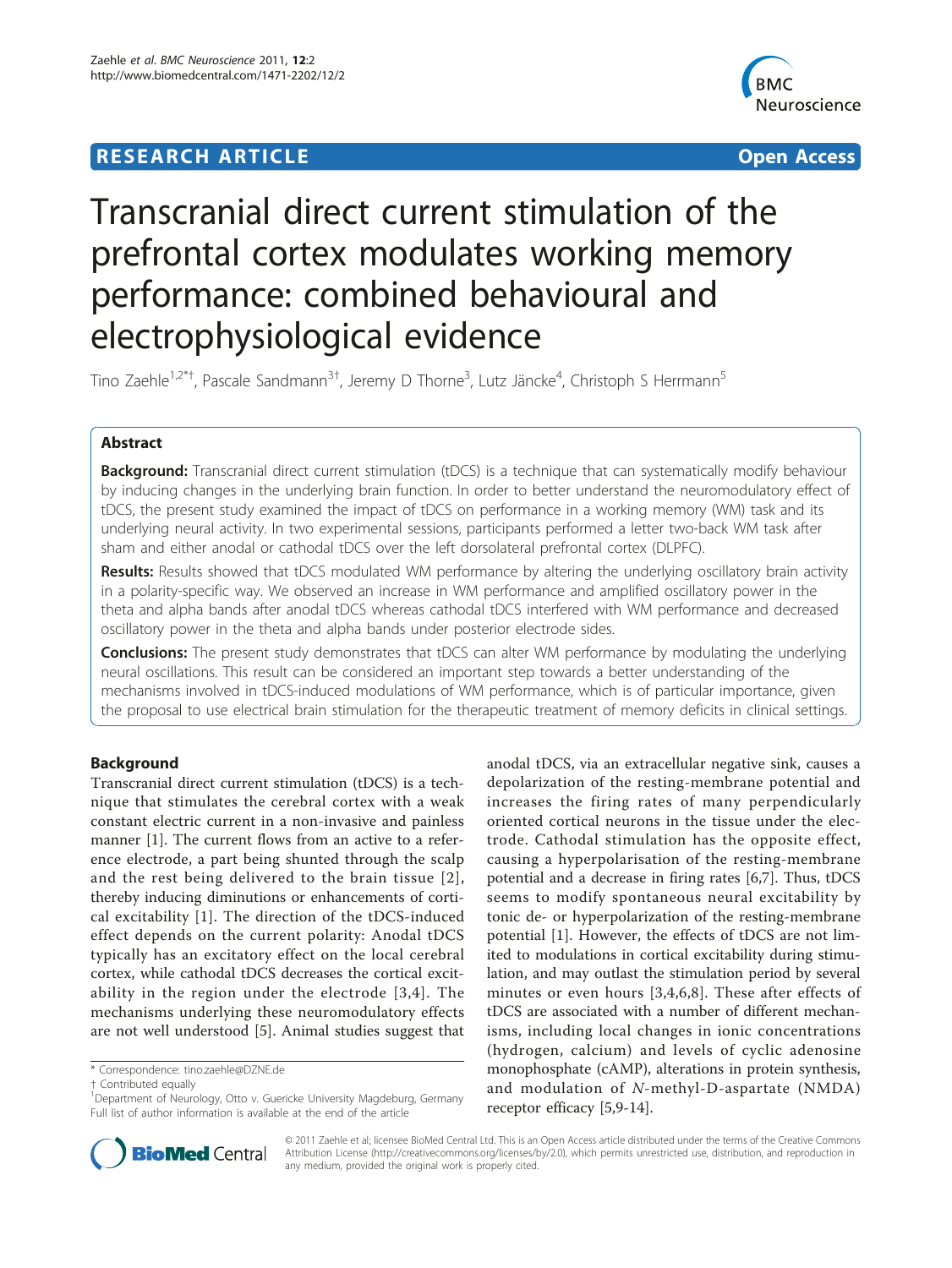# **RESEARCH ARTICLE External Structure Community Community Community Community Community Community Community Community Community Community Community Community Community Community Community Community Community Community Com**



# Transcranial direct current stimulation of the prefrontal cortex modulates working memory performance: combined behavioural and electrophysiological evidence

Tino Zaehle<sup>1,2\*†</sup>, Pascale Sandmann<sup>3†</sup>, Jeremy D Thorne<sup>3</sup>, Lutz Jäncke<sup>4</sup>, Christoph S Herrmann<sup>5</sup>

# Abstract

**Background:** Transcranial direct current stimulation (tDCS) is a technique that can systematically modify behaviour by inducing changes in the underlying brain function. In order to better understand the neuromodulatory effect of tDCS, the present study examined the impact of tDCS on performance in a working memory (WM) task and its underlying neural activity. In two experimental sessions, participants performed a letter two-back WM task after sham and either anodal or cathodal tDCS over the left dorsolateral prefrontal cortex (DLPFC).

Results: Results showed that tDCS modulated WM performance by altering the underlying oscillatory brain activity in a polarity-specific way. We observed an increase in WM performance and amplified oscillatory power in the theta and alpha bands after anodal tDCS whereas cathodal tDCS interfered with WM performance and decreased oscillatory power in the theta and alpha bands under posterior electrode sides.

**Conclusions:** The present study demonstrates that tDCS can alter WM performance by modulating the underlying neural oscillations. This result can be considered an important step towards a better understanding of the mechanisms involved in tDCS-induced modulations of WM performance, which is of particular importance, given the proposal to use electrical brain stimulation for the therapeutic treatment of memory deficits in clinical settings.

# Background

Transcranial direct current stimulation (tDCS) is a technique that stimulates the cerebral cortex with a weak constant electric current in a non-invasive and painless manner [[1\]](#page-8-0). The current flows from an active to a reference electrode, a part being shunted through the scalp and the rest being delivered to the brain tissue [[2\]](#page-8-0), thereby inducing diminutions or enhancements of cortical excitability [\[1](#page-8-0)]. The direction of the tDCS-induced effect depends on the current polarity: Anodal tDCS typically has an excitatory effect on the local cerebral cortex, while cathodal tDCS decreases the cortical excitability in the region under the electrode [[3](#page-8-0),[4](#page-8-0)]. The mechanisms underlying these neuromodulatory effects are not well understood [\[5](#page-8-0)]. Animal studies suggest that

<sup>&</sup>lt;sup>1</sup>Department of Neurology, Otto v. Guericke University Magdeburg, Germany Full list of author information is available at the end of the article





© 2011 Zaehle et al; licensee BioMed Central Ltd. This is an Open Access article distributed under the terms of the Creative Commons Attribution License [\(http://creativecommons.org/licenses/by/2.0](http://creativecommons.org/licenses/by/2.0)), which permits unrestricted use, distribution, and reproduction in any medium, provided the original work is properly cited.

<sup>\*</sup> Correspondence: [tino.zaehle@DZNE.de](mailto:tino.zaehle@DZNE.de)

<sup>†</sup> Contributed equally <sup>1</sup>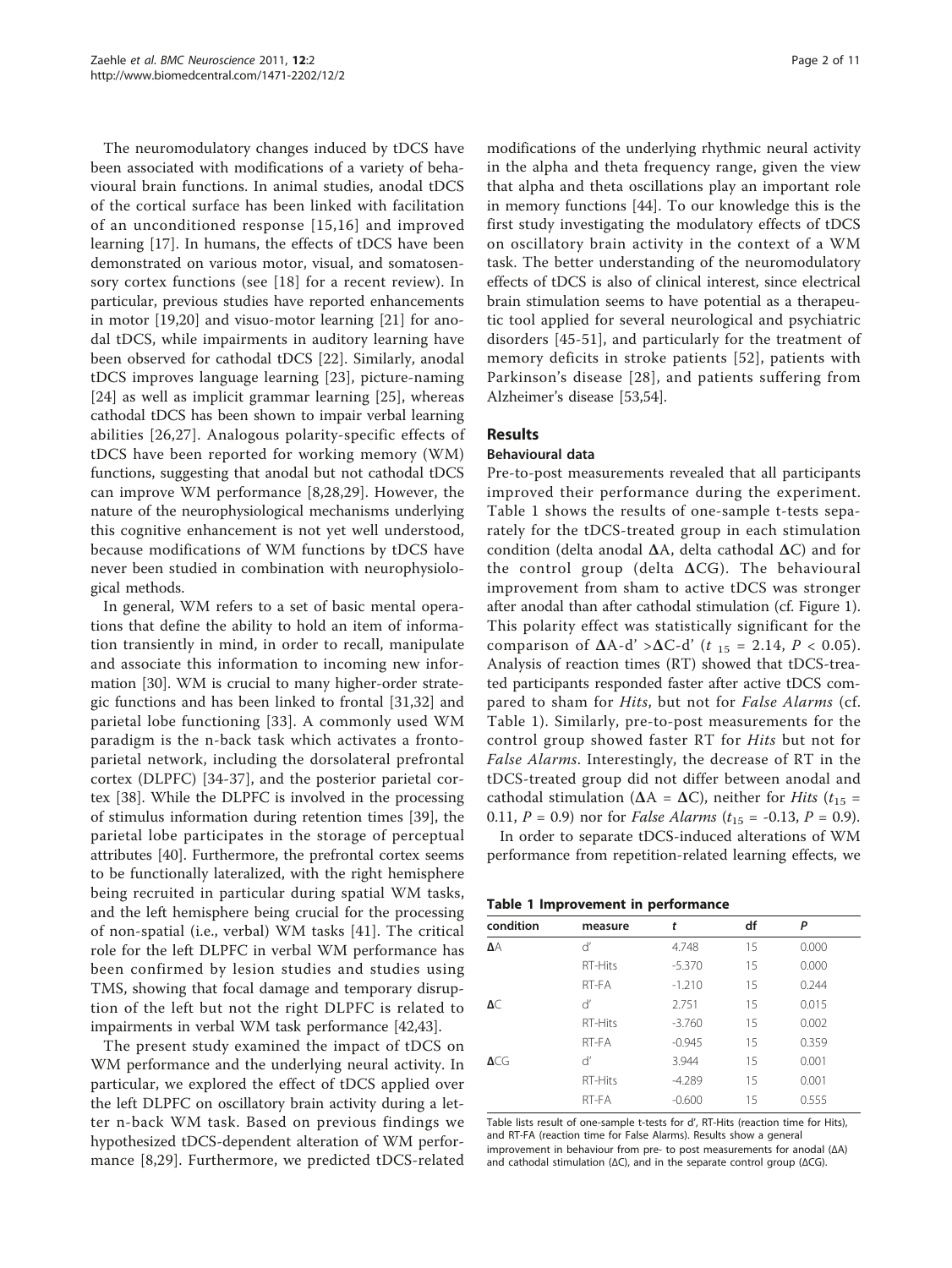The neuromodulatory changes induced by tDCS have been associated with modifications of a variety of behavioural brain functions. In animal studies, anodal tDCS of the cortical surface has been linked with facilitation of an unconditioned response [[15,16\]](#page-8-0) and improved learning [[17\]](#page-8-0). In humans, the effects of tDCS have been demonstrated on various motor, visual, and somatosensory cortex functions (see [\[18\]](#page-8-0) for a recent review). In particular, previous studies have reported enhancements in motor [[19,20\]](#page-8-0) and visuo-motor learning [\[21](#page-8-0)] for anodal tDCS, while impairments in auditory learning have been observed for cathodal tDCS [\[22](#page-8-0)]. Similarly, anodal tDCS improves language learning [\[23\]](#page-9-0), picture-naming [[24](#page-9-0)] as well as implicit grammar learning [[25](#page-9-0)], whereas cathodal tDCS has been shown to impair verbal learning abilities [[26](#page-9-0),[27](#page-9-0)]. Analogous polarity-specific effects of tDCS have been reported for working memory (WM) functions, suggesting that anodal but not cathodal tDCS can improve WM performance [\[8](#page-8-0),[28,29](#page-9-0)]. However, the nature of the neurophysiological mechanisms underlying this cognitive enhancement is not yet well understood, because modifications of WM functions by tDCS have never been studied in combination with neurophysiological methods.

In general, WM refers to a set of basic mental operations that define the ability to hold an item of information transiently in mind, in order to recall, manipulate and associate this information to incoming new information [[30\]](#page-9-0). WM is crucial to many higher-order strategic functions and has been linked to frontal [[31,32\]](#page-9-0) and parietal lobe functioning [[33](#page-9-0)]. A commonly used WM paradigm is the n-back task which activates a frontoparietal network, including the dorsolateral prefrontal cortex (DLPFC) [[34-37\]](#page-9-0), and the posterior parietal cortex [[38\]](#page-9-0). While the DLPFC is involved in the processing of stimulus information during retention times [[39\]](#page-9-0), the parietal lobe participates in the storage of perceptual attributes [[40\]](#page-9-0). Furthermore, the prefrontal cortex seems to be functionally lateralized, with the right hemisphere being recruited in particular during spatial WM tasks, and the left hemisphere being crucial for the processing of non-spatial (i.e., verbal) WM tasks [[41\]](#page-9-0). The critical role for the left DLPFC in verbal WM performance has been confirmed by lesion studies and studies using TMS, showing that focal damage and temporary disruption of the left but not the right DLPFC is related to impairments in verbal WM task performance [[42,43](#page-9-0)].

The present study examined the impact of tDCS on WM performance and the underlying neural activity. In particular, we explored the effect of tDCS applied over the left DLPFC on oscillatory brain activity during a letter n-back WM task. Based on previous findings we hypothesized tDCS-dependent alteration of WM performance [[8](#page-8-0)[,29\]](#page-9-0). Furthermore, we predicted tDCS-related

modifications of the underlying rhythmic neural activity in the alpha and theta frequency range, given the view that alpha and theta oscillations play an important role in memory functions [[44\]](#page-9-0). To our knowledge this is the first study investigating the modulatory effects of tDCS on oscillatory brain activity in the context of a WM task. The better understanding of the neuromodulatory effects of tDCS is also of clinical interest, since electrical brain stimulation seems to have potential as a therapeutic tool applied for several neurological and psychiatric disorders [\[45](#page-9-0)-[51](#page-9-0)], and particularly for the treatment of memory deficits in stroke patients [[52\]](#page-9-0), patients with Parkinson's disease [[28](#page-9-0)], and patients suffering from Alzheimer's disease [[53,54](#page-9-0)].

# Results

#### Behavioural data

Pre-to-post measurements revealed that all participants improved their performance during the experiment. Table 1 shows the results of one-sample t-tests separately for the tDCS-treated group in each stimulation condition (delta anodal ΔA, delta cathodal ΔC) and for the control group (delta  $\Delta CG$ ). The behavioural improvement from sham to active tDCS was stronger after anodal than after cathodal stimulation (cf. Figure [1](#page-2-0)). This polarity effect was statistically significant for the comparison of  $\Delta A$ -d' > $\Delta C$ -d' (t <sub>15</sub> = 2.14, P < 0.05). Analysis of reaction times (RT) showed that tDCS-treated participants responded faster after active tDCS compared to sham for Hits, but not for False Alarms (cf. Table 1). Similarly, pre-to-post measurements for the control group showed faster RT for Hits but not for False Alarms. Interestingly, the decrease of RT in the tDCS-treated group did not differ between anodal and cathodal stimulation ( $\Delta A = \Delta C$ ), neither for *Hits* ( $t_{15}$  = 0.11,  $P = 0.9$ ) nor for *False Alarms* ( $t_{15} = -0.13$ ,  $P = 0.9$ ).

In order to separate tDCS-induced alterations of WM performance from repetition-related learning effects, we

| condition | measure | t        | df | P     |
|-----------|---------|----------|----|-------|
| ΔA        | ď       | 4.748    | 15 | 0.000 |
|           | RT-Hits | $-5.370$ | 15 | 0.000 |
|           | RT-FA   | $-1.210$ | 15 | 0.244 |
| ΔC        | ď       | 2.751    | 15 | 0.015 |
|           | RT-Hits | $-3.760$ | 15 | 0.002 |
|           | RT-FA   | $-0.945$ | 15 | 0.359 |
| ACG       | ď       | 3.944    | 15 | 0.001 |
|           | RT-Hits | $-4.289$ | 15 | 0.001 |
|           | RT-FA   | $-0.600$ | 15 | 0.555 |

Table lists result of one-sample t-tests for d', RT-Hits (reaction time for Hits), and RT-FA (reaction time for False Alarms). Results show a general improvement in behaviour from pre- to post measurements for anodal (ΔA) and cathodal stimulation (ΔC), and in the separate control group (ΔCG).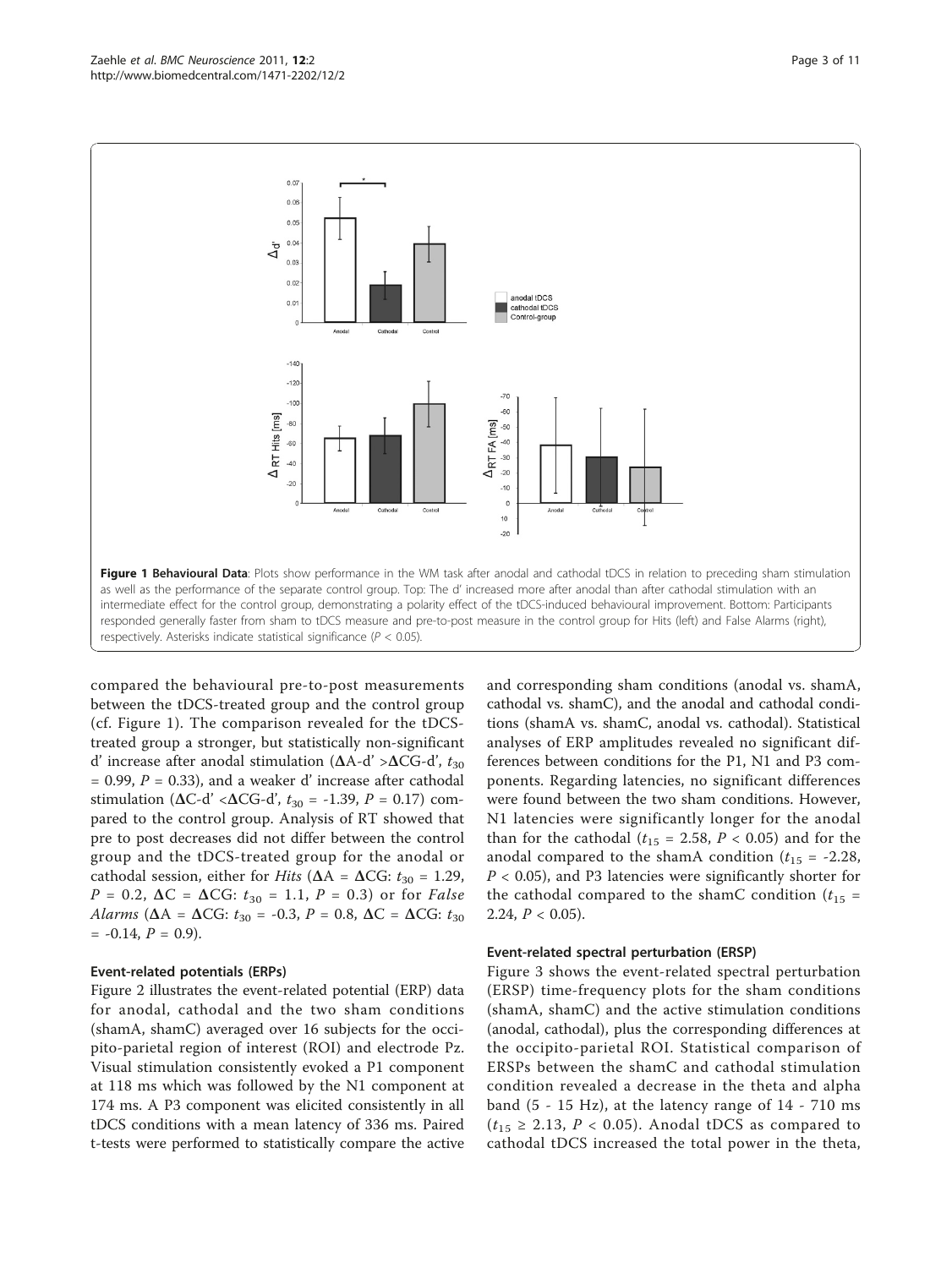<span id="page-2-0"></span>

compared the behavioural pre-to-post measurements between the tDCS-treated group and the control group (cf. Figure 1). The comparison revealed for the tDCStreated group a stronger, but statistically non-significant d' increase after anodal stimulation ( $ΔA-d' > ΔCG-d', t_{30}$  $= 0.99$ ,  $P = 0.33$ ), and a weaker d' increase after cathodal stimulation ( $\Delta C$ -d' < $\Delta CG$ -d',  $t_{30}$  = -1.39, P = 0.17) compared to the control group. Analysis of RT showed that pre to post decreases did not differ between the control group and the tDCS-treated group for the anodal or cathodal session, either for *Hits* ( $\Delta A = \Delta CG$ :  $t_{30} = 1.29$ ,  $P = 0.2$ ,  $\Delta C = \Delta CG$ :  $t_{30} = 1.1$ ,  $P = 0.3$ ) or for *False* Alarms ( $\Delta A = \Delta CG$ :  $t_{30} = -0.3$ ,  $P = 0.8$ ,  $\Delta C = \Delta CG$ :  $t_{30}$  $= -0.14$ ,  $P = 0.9$ ).

# Event-related potentials (ERPs)

Figure [2](#page-3-0) illustrates the event-related potential (ERP) data for anodal, cathodal and the two sham conditions (shamA, shamC) averaged over 16 subjects for the occipito-parietal region of interest (ROI) and electrode Pz. Visual stimulation consistently evoked a P1 component at 118 ms which was followed by the N1 component at 174 ms. A P3 component was elicited consistently in all tDCS conditions with a mean latency of 336 ms. Paired t-tests were performed to statistically compare the active

and corresponding sham conditions (anodal vs. shamA, cathodal vs. shamC), and the anodal and cathodal conditions (shamA vs. shamC, anodal vs. cathodal). Statistical analyses of ERP amplitudes revealed no significant differences between conditions for the P1, N1 and P3 components. Regarding latencies, no significant differences were found between the two sham conditions. However, N1 latencies were significantly longer for the anodal than for the cathodal ( $t_{15}$  = 2.58, P < 0.05) and for the anodal compared to the shamA condition  $(t_{15} = -2.28,$  $P < 0.05$ ), and P3 latencies were significantly shorter for the cathodal compared to the shamC condition  $(t_{15} =$ 2.24,  $P < 0.05$ ).

#### Event-related spectral perturbation (ERSP)

Figure [3](#page-4-0) shows the event-related spectral perturbation (ERSP) time-frequency plots for the sham conditions (shamA, shamC) and the active stimulation conditions (anodal, cathodal), plus the corresponding differences at the occipito-parietal ROI. Statistical comparison of ERSPs between the shamC and cathodal stimulation condition revealed a decrease in the theta and alpha band (5 - 15 Hz), at the latency range of 14 - 710 ms  $(t_{15} \ge 2.13, P < 0.05)$ . Anodal tDCS as compared to cathodal tDCS increased the total power in the theta,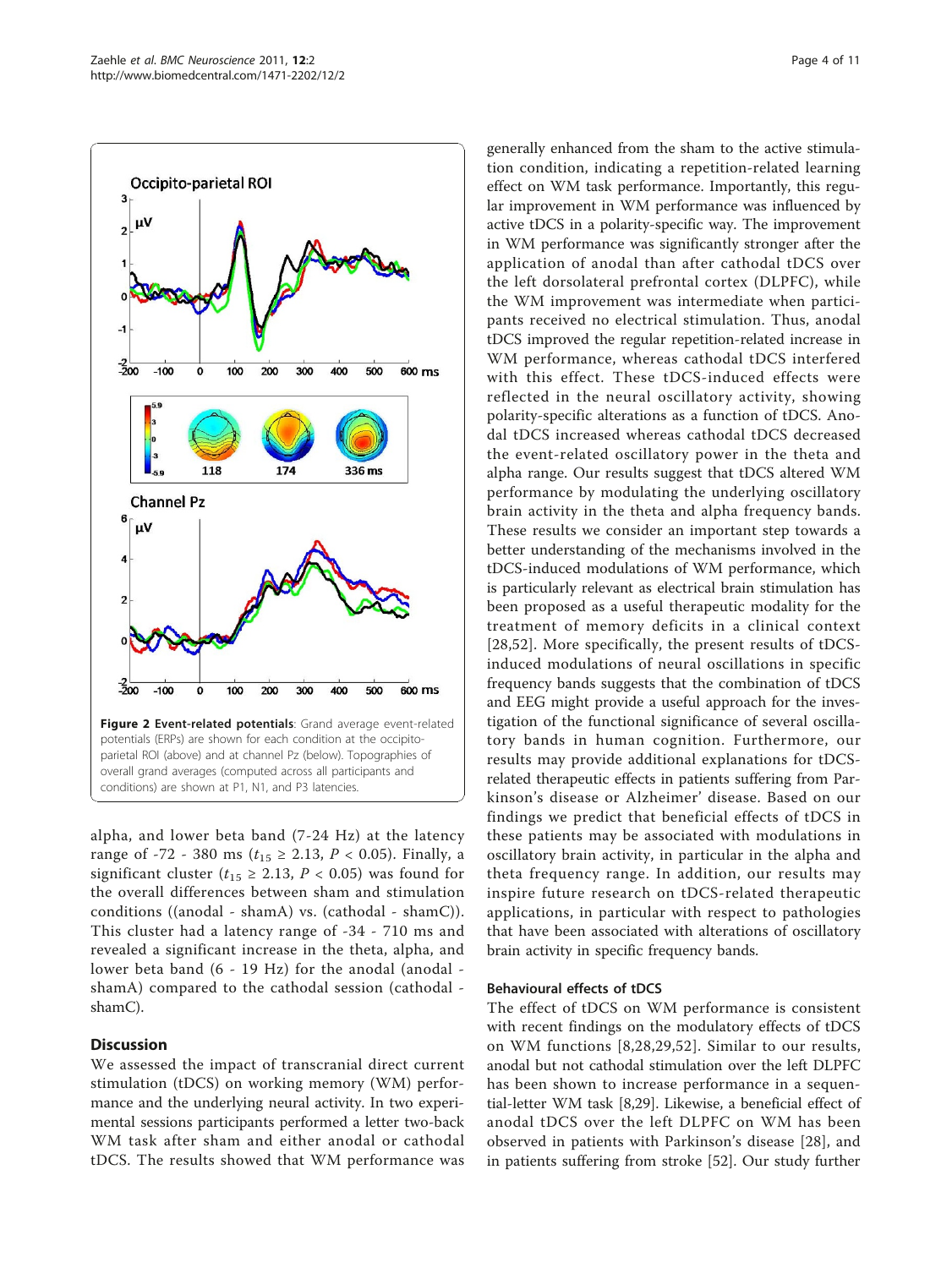<span id="page-3-0"></span>

alpha, and lower beta band (7-24 Hz) at the latency range of -72 - 380 ms ( $t_{15} \ge 2.13$ ,  $P < 0.05$ ). Finally, a significant cluster ( $t_{15} \geq 2.13$ ,  $P < 0.05$ ) was found for the overall differences between sham and stimulation conditions ((anodal - shamA) vs. (cathodal - shamC)). This cluster had a latency range of -34 - 710 ms and revealed a significant increase in the theta, alpha, and lower beta band (6 - 19 Hz) for the anodal (anodal shamA) compared to the cathodal session (cathodal shamC).

# **Discussion**

We assessed the impact of transcranial direct current stimulation (tDCS) on working memory (WM) performance and the underlying neural activity. In two experimental sessions participants performed a letter two-back WM task after sham and either anodal or cathodal tDCS. The results showed that WM performance was

generally enhanced from the sham to the active stimulation condition, indicating a repetition-related learning effect on WM task performance. Importantly, this regular improvement in WM performance was influenced by active tDCS in a polarity-specific way. The improvement in WM performance was significantly stronger after the application of anodal than after cathodal tDCS over the left dorsolateral prefrontal cortex (DLPFC), while the WM improvement was intermediate when participants received no electrical stimulation. Thus, anodal tDCS improved the regular repetition-related increase in WM performance, whereas cathodal tDCS interfered with this effect. These tDCS-induced effects were reflected in the neural oscillatory activity, showing polarity-specific alterations as a function of tDCS. Anodal tDCS increased whereas cathodal tDCS decreased the event-related oscillatory power in the theta and alpha range. Our results suggest that tDCS altered WM performance by modulating the underlying oscillatory brain activity in the theta and alpha frequency bands. These results we consider an important step towards a better understanding of the mechanisms involved in the tDCS-induced modulations of WM performance, which is particularly relevant as electrical brain stimulation has been proposed as a useful therapeutic modality for the treatment of memory deficits in a clinical context [[28,52\]](#page-9-0). More specifically, the present results of tDCSinduced modulations of neural oscillations in specific frequency bands suggests that the combination of tDCS and EEG might provide a useful approach for the investigation of the functional significance of several oscillatory bands in human cognition. Furthermore, our results may provide additional explanations for tDCSrelated therapeutic effects in patients suffering from Parkinson's disease or Alzheimer' disease. Based on our findings we predict that beneficial effects of tDCS in these patients may be associated with modulations in oscillatory brain activity, in particular in the alpha and theta frequency range. In addition, our results may inspire future research on tDCS-related therapeutic applications, in particular with respect to pathologies that have been associated with alterations of oscillatory brain activity in specific frequency bands.

#### Behavioural effects of tDCS

The effect of tDCS on WM performance is consistent with recent findings on the modulatory effects of tDCS on WM functions [[8](#page-8-0)[,28,29](#page-9-0),[52](#page-9-0)]. Similar to our results, anodal but not cathodal stimulation over the left DLPFC has been shown to increase performance in a sequential-letter WM task [\[8](#page-8-0)[,29](#page-9-0)]. Likewise, a beneficial effect of anodal tDCS over the left DLPFC on WM has been observed in patients with Parkinson's disease [[28](#page-9-0)], and in patients suffering from stroke [[52\]](#page-9-0). Our study further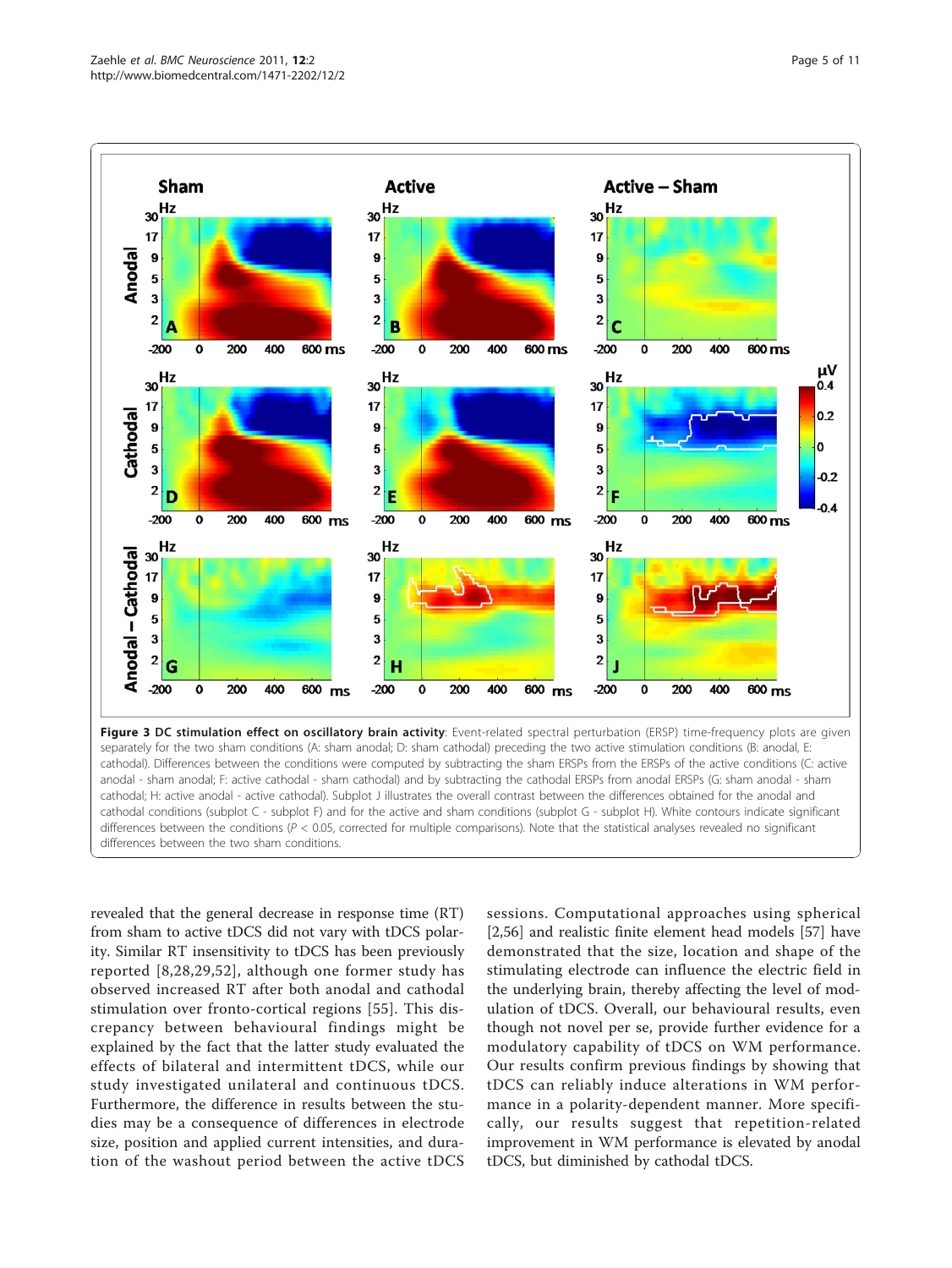<span id="page-4-0"></span>

revealed that the general decrease in response time (RT) from sham to active tDCS did not vary with tDCS polarity. Similar RT insensitivity to tDCS has been previously reported [[8](#page-8-0),[28](#page-9-0),[29](#page-9-0),[52](#page-9-0)], although one former study has observed increased RT after both anodal and cathodal stimulation over fronto-cortical regions [[55](#page-9-0)]. This discrepancy between behavioural findings might be explained by the fact that the latter study evaluated the effects of bilateral and intermittent tDCS, while our study investigated unilateral and continuous tDCS. Furthermore, the difference in results between the studies may be a consequence of differences in electrode size, position and applied current intensities, and duration of the washout period between the active tDCS sessions. Computational approaches using spherical [[2,](#page-8-0)[56\]](#page-9-0) and realistic finite element head models [[57](#page-9-0)] have demonstrated that the size, location and shape of the stimulating electrode can influence the electric field in the underlying brain, thereby affecting the level of modulation of tDCS. Overall, our behavioural results, even though not novel per se, provide further evidence for a modulatory capability of tDCS on WM performance. Our results confirm previous findings by showing that tDCS can reliably induce alterations in WM performance in a polarity-dependent manner. More specifically, our results suggest that repetition-related improvement in WM performance is elevated by anodal tDCS, but diminished by cathodal tDCS.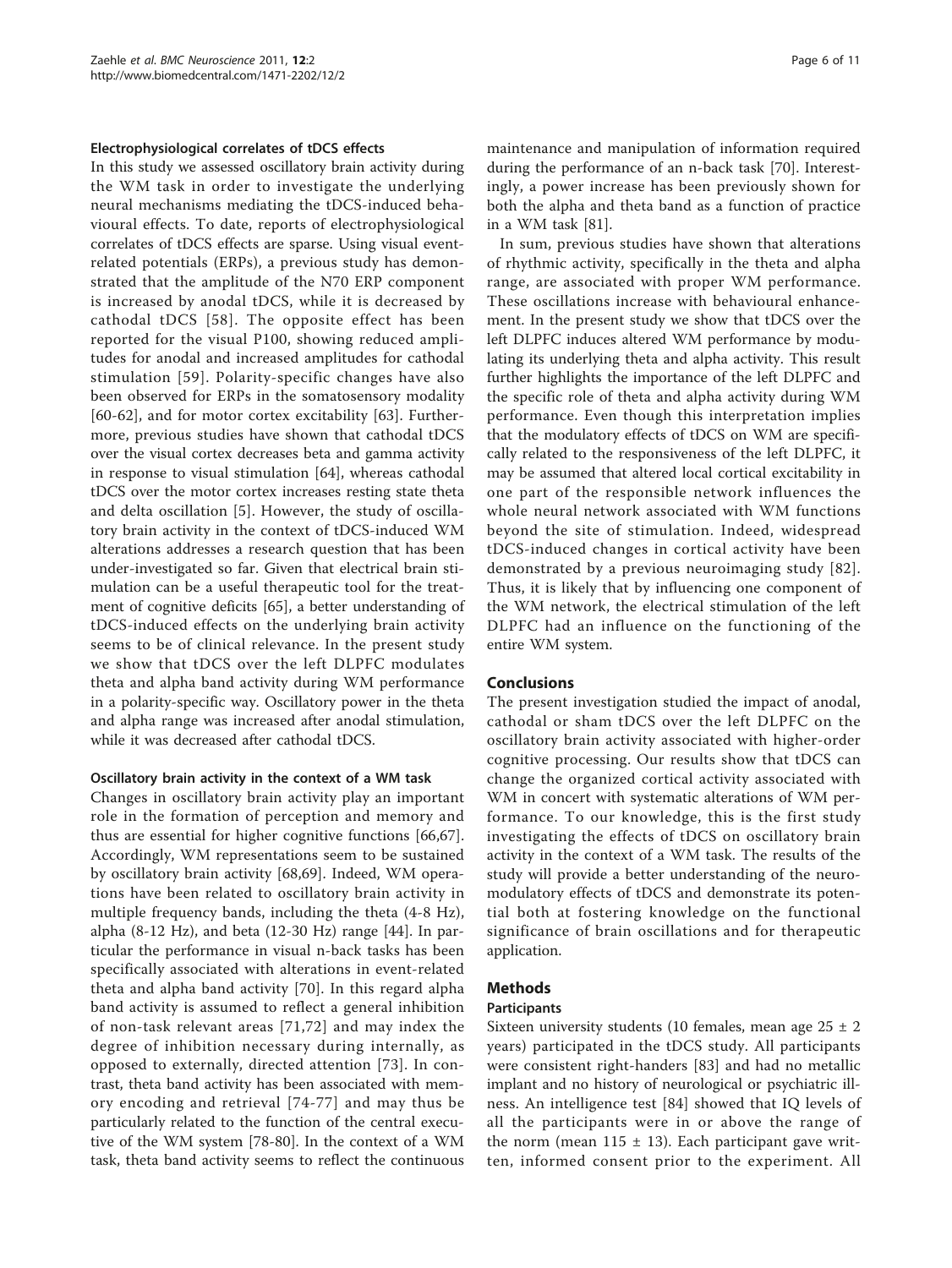#### Electrophysiological correlates of tDCS effects

In this study we assessed oscillatory brain activity during the WM task in order to investigate the underlying neural mechanisms mediating the tDCS-induced behavioural effects. To date, reports of electrophysiological correlates of tDCS effects are sparse. Using visual eventrelated potentials (ERPs), a previous study has demonstrated that the amplitude of the N70 ERP component is increased by anodal tDCS, while it is decreased by cathodal tDCS [[58](#page-9-0)]. The opposite effect has been reported for the visual P100, showing reduced amplitudes for anodal and increased amplitudes for cathodal stimulation [[59](#page-9-0)]. Polarity-specific changes have also been observed for ERPs in the somatosensory modality [[60-62\]](#page-9-0), and for motor cortex excitability [[63\]](#page-9-0). Furthermore, previous studies have shown that cathodal tDCS over the visual cortex decreases beta and gamma activity in response to visual stimulation [\[64](#page-9-0)], whereas cathodal tDCS over the motor cortex increases resting state theta and delta oscillation [\[5](#page-8-0)]. However, the study of oscillatory brain activity in the context of tDCS-induced WM alterations addresses a research question that has been under-investigated so far. Given that electrical brain stimulation can be a useful therapeutic tool for the treatment of cognitive deficits [[65](#page-9-0)], a better understanding of tDCS-induced effects on the underlying brain activity seems to be of clinical relevance. In the present study we show that tDCS over the left DLPFC modulates theta and alpha band activity during WM performance in a polarity-specific way. Oscillatory power in the theta and alpha range was increased after anodal stimulation, while it was decreased after cathodal tDCS.

#### Oscillatory brain activity in the context of a WM task

Changes in oscillatory brain activity play an important role in the formation of perception and memory and thus are essential for higher cognitive functions [\[66,67](#page-10-0)]. Accordingly, WM representations seem to be sustained by oscillatory brain activity [[68,69\]](#page-10-0). Indeed, WM operations have been related to oscillatory brain activity in multiple frequency bands, including the theta (4-8 Hz), alpha (8-12 Hz), and beta (12-30 Hz) range [\[44\]](#page-9-0). In particular the performance in visual n-back tasks has been specifically associated with alterations in event-related theta and alpha band activity [\[70](#page-10-0)]. In this regard alpha band activity is assumed to reflect a general inhibition of non-task relevant areas [\[71,72\]](#page-10-0) and may index the degree of inhibition necessary during internally, as opposed to externally, directed attention [\[73\]](#page-10-0). In contrast, theta band activity has been associated with memory encoding and retrieval [[74-77\]](#page-10-0) and may thus be particularly related to the function of the central executive of the WM system [[78](#page-10-0)-[80\]](#page-10-0). In the context of a WM task, theta band activity seems to reflect the continuous ingly, a power increase has been previously shown for both the alpha and theta band as a function of practice in a WM task [\[81](#page-10-0)]. In sum, previous studies have shown that alterations

of rhythmic activity, specifically in the theta and alpha range, are associated with proper WM performance. These oscillations increase with behavioural enhancement. In the present study we show that tDCS over the left DLPFC induces altered WM performance by modulating its underlying theta and alpha activity. This result further highlights the importance of the left DLPFC and the specific role of theta and alpha activity during WM performance. Even though this interpretation implies that the modulatory effects of tDCS on WM are specifically related to the responsiveness of the left DLPFC, it may be assumed that altered local cortical excitability in one part of the responsible network influences the whole neural network associated with WM functions beyond the site of stimulation. Indeed, widespread tDCS-induced changes in cortical activity have been demonstrated by a previous neuroimaging study [[82\]](#page-10-0). Thus, it is likely that by influencing one component of the WM network, the electrical stimulation of the left DLPFC had an influence on the functioning of the entire WM system.

# Conclusions

The present investigation studied the impact of anodal, cathodal or sham tDCS over the left DLPFC on the oscillatory brain activity associated with higher-order cognitive processing. Our results show that tDCS can change the organized cortical activity associated with WM in concert with systematic alterations of WM performance. To our knowledge, this is the first study investigating the effects of tDCS on oscillatory brain activity in the context of a WM task. The results of the study will provide a better understanding of the neuromodulatory effects of tDCS and demonstrate its potential both at fostering knowledge on the functional significance of brain oscillations and for therapeutic application.

# Methods

# Participants

Sixteen university students (10 females, mean age  $25 \pm 2$ years) participated in the tDCS study. All participants were consistent right-handers [\[83](#page-10-0)] and had no metallic implant and no history of neurological or psychiatric illness. An intelligence test [[84\]](#page-10-0) showed that IQ levels of all the participants were in or above the range of the norm (mean  $115 \pm 13$ ). Each participant gave written, informed consent prior to the experiment. All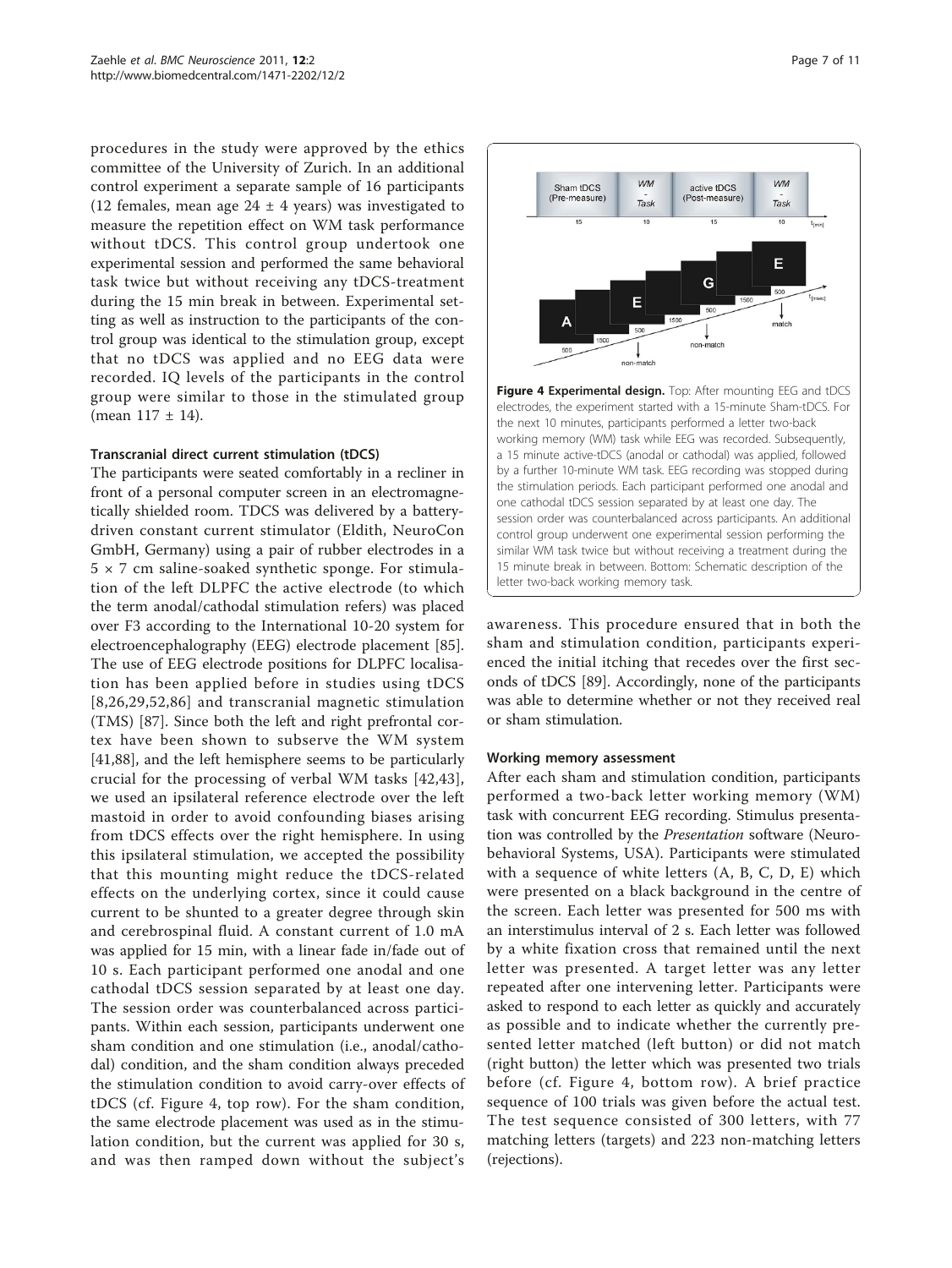procedures in the study were approved by the ethics committee of the University of Zurich. In an additional control experiment a separate sample of 16 participants (12 females, mean age  $24 \pm 4$  years) was investigated to measure the repetition effect on WM task performance without tDCS. This control group undertook one experimental session and performed the same behavioral task twice but without receiving any tDCS-treatment during the 15 min break in between. Experimental setting as well as instruction to the participants of the control group was identical to the stimulation group, except that no tDCS was applied and no EEG data were recorded. IQ levels of the participants in the control group were similar to those in the stimulated group (mean  $117 \pm 14$ ).

#### Transcranial direct current stimulation (tDCS)

The participants were seated comfortably in a recliner in front of a personal computer screen in an electromagnetically shielded room. TDCS was delivered by a batterydriven constant current stimulator (Eldith, NeuroCon GmbH, Germany) using a pair of rubber electrodes in a  $5 \times 7$  cm saline-soaked synthetic sponge. For stimulation of the left DLPFC the active electrode (to which the term anodal/cathodal stimulation refers) was placed over F3 according to the International 10-20 system for electroencephalography (EEG) electrode placement [\[85](#page-10-0)]. The use of EEG electrode positions for DLPFC localisation has been applied before in studies using tDCS [[8](#page-8-0),[26](#page-9-0),[29,52,](#page-9-0)[86\]](#page-10-0) and transcranial magnetic stimulation (TMS) [\[87](#page-10-0)]. Since both the left and right prefrontal cortex have been shown to subserve the WM system [[41,](#page-9-0)[88\]](#page-10-0), and the left hemisphere seems to be particularly crucial for the processing of verbal WM tasks [[42](#page-9-0),[43\]](#page-9-0), we used an ipsilateral reference electrode over the left mastoid in order to avoid confounding biases arising from tDCS effects over the right hemisphere. In using this ipsilateral stimulation, we accepted the possibility that this mounting might reduce the tDCS-related effects on the underlying cortex, since it could cause current to be shunted to a greater degree through skin and cerebrospinal fluid. A constant current of 1.0 mA was applied for 15 min, with a linear fade in/fade out of 10 s. Each participant performed one anodal and one cathodal tDCS session separated by at least one day. The session order was counterbalanced across participants. Within each session, participants underwent one sham condition and one stimulation (i.e., anodal/cathodal) condition, and the sham condition always preceded the stimulation condition to avoid carry-over effects of tDCS (cf. Figure 4, top row). For the sham condition, the same electrode placement was used as in the stimulation condition, but the current was applied for 30 s, and was then ramped down without the subject's





awareness. This procedure ensured that in both the sham and stimulation condition, participants experienced the initial itching that recedes over the first seconds of tDCS [\[89\]](#page-10-0). Accordingly, none of the participants was able to determine whether or not they received real or sham stimulation.

#### Working memory assessment

After each sham and stimulation condition, participants performed a two-back letter working memory (WM) task with concurrent EEG recording. Stimulus presentation was controlled by the Presentation software (Neurobehavioral Systems, USA). Participants were stimulated with a sequence of white letters (A, B, C, D, E) which were presented on a black background in the centre of the screen. Each letter was presented for 500 ms with an interstimulus interval of 2 s. Each letter was followed by a white fixation cross that remained until the next letter was presented. A target letter was any letter repeated after one intervening letter. Participants were asked to respond to each letter as quickly and accurately as possible and to indicate whether the currently presented letter matched (left button) or did not match (right button) the letter which was presented two trials before (cf. Figure 4, bottom row). A brief practice sequence of 100 trials was given before the actual test. The test sequence consisted of 300 letters, with 77 matching letters (targets) and 223 non-matching letters (rejections).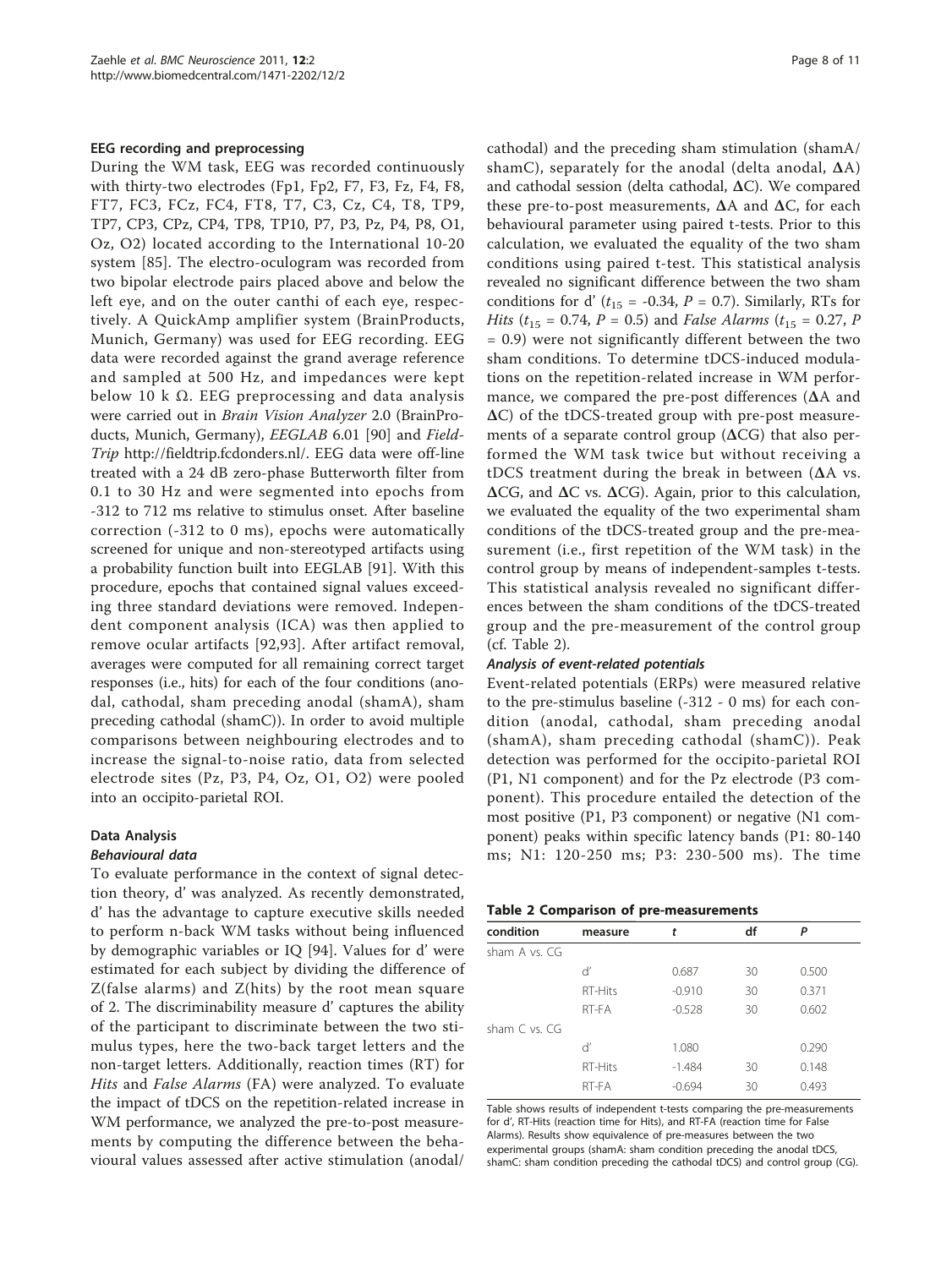#### EEG recording and preprocessing

During the WM task, EEG was recorded continuously with thirty-two electrodes (Fp1, Fp2, F7, F3, Fz, F4, F8, FT7, FC3, FCz, FC4, FT8, T7, C3, Cz, C4, T8, TP9, TP7, CP3, CPz, CP4, TP8, TP10, P7, P3, Pz, P4, P8, O1, Oz, O2) located according to the International 10-20 system [[85\]](#page-10-0). The electro-oculogram was recorded from two bipolar electrode pairs placed above and below the left eye, and on the outer canthi of each eye, respectively. A QuickAmp amplifier system (BrainProducts, Munich, Germany) was used for EEG recording. EEG data were recorded against the grand average reference and sampled at 500 Hz, and impedances were kept below 10 k  $Ω$ . EEG preprocessing and data analysis were carried out in Brain Vision Analyzer 2.0 (BrainProducts, Munich, Germany), EEGLAB 6.01 [[90\]](#page-10-0) and Field-Trip [http://fieldtrip.fcdonders.nl/.](http://fieldtrip.fcdonders.nl/) EEG data were off-line treated with a 24 dB zero-phase Butterworth filter from 0.1 to 30 Hz and were segmented into epochs from -312 to 712 ms relative to stimulus onset. After baseline correction (-312 to 0 ms), epochs were automatically screened for unique and non-stereotyped artifacts using a probability function built into EEGLAB [\[91\]](#page-10-0). With this procedure, epochs that contained signal values exceeding three standard deviations were removed. Independent component analysis (ICA) was then applied to remove ocular artifacts [[92,93\]](#page-10-0). After artifact removal, averages were computed for all remaining correct target responses (i.e., hits) for each of the four conditions (anodal, cathodal, sham preceding anodal (shamA), sham preceding cathodal (shamC)). In order to avoid multiple comparisons between neighbouring electrodes and to increase the signal-to-noise ratio, data from selected electrode sites (Pz, P3, P4, Oz, O1, O2) were pooled into an occipito-parietal ROI.

#### Data Analysis

#### Behavioural data

To evaluate performance in the context of signal detection theory, d' was analyzed. As recently demonstrated, d' has the advantage to capture executive skills needed to perform n-back WM tasks without being influenced by demographic variables or IQ [[94\]](#page-10-0). Values for d' were estimated for each subject by dividing the difference of Z(false alarms) and Z(hits) by the root mean square of 2. The discriminability measure d' captures the ability of the participant to discriminate between the two stimulus types, here the two-back target letters and the non-target letters. Additionally, reaction times (RT) for Hits and False Alarms (FA) were analyzed. To evaluate the impact of tDCS on the repetition-related increase in WM performance, we analyzed the pre-to-post measurements by computing the difference between the behavioural values assessed after active stimulation (anodal/ cathodal) and the preceding sham stimulation (shamA/ shamC), separately for the anodal (delta anodal,  $\Delta A$ ) and cathodal session (delta cathodal, ΔC). We compared these pre-to-post measurements,  $\Delta A$  and  $\Delta C$ , for each behavioural parameter using paired t-tests. Prior to this calculation, we evaluated the equality of the two sham conditions using paired t-test. This statistical analysis revealed no significant difference between the two sham conditions for d' ( $t_{15}$  = -0.34, P = 0.7). Similarly, RTs for *Hits* ( $t_{15}$  = 0.74, *P* = 0.5) and *False Alarms* ( $t_{15}$  = 0.27, *P* = 0.9) were not significantly different between the two sham conditions. To determine tDCS-induced modulations on the repetition-related increase in WM performance, we compared the pre-post differences  $($  $\Delta$ A and ΔC) of the tDCS-treated group with pre-post measurements of a separate control group  $(\Delta CG)$  that also performed the WM task twice but without receiving a tDCS treatment during the break in between  $(∆A$  vs.  $\Delta CG$ , and  $\Delta C$  vs.  $\Delta CG$ ). Again, prior to this calculation, we evaluated the equality of the two experimental sham conditions of the tDCS-treated group and the pre-measurement (i.e., first repetition of the WM task) in the control group by means of independent-samples t-tests. This statistical analysis revealed no significant differences between the sham conditions of the tDCS-treated group and the pre-measurement of the control group (cf. Table 2).

#### Analysis of event-related potentials

Event-related potentials (ERPs) were measured relative to the pre-stimulus baseline (-312 - 0 ms) for each condition (anodal, cathodal, sham preceding anodal (shamA), sham preceding cathodal (shamC)). Peak detection was performed for the occipito-parietal ROI (P1, N1 component) and for the Pz electrode (P3 component). This procedure entailed the detection of the most positive (P1, P3 component) or negative (N1 component) peaks within specific latency bands (P1: 80-140 ms; N1: 120-250 ms; P3: 230-500 ms). The time

|  |  |  |  | Table 2 Comparison of pre-measurements |
|--|--|--|--|----------------------------------------|
|--|--|--|--|----------------------------------------|

| measure | t        | df | P     |
|---------|----------|----|-------|
|         |          |    |       |
| ď       | 0.687    | 30 | 0.500 |
| RT-Hits | $-0.910$ | 30 | 0.371 |
| RT-FA   | $-0.528$ | 30 | 0.602 |
|         |          |    |       |
| ď       | 1.080    |    | 0.290 |
| RT-Hits | $-1.484$ | 30 | 0.148 |
| RT-FA   | $-0.694$ | 30 | 0.493 |
|         |          |    |       |

Table shows results of independent t-tests comparing the pre-measurements for d', RT-Hits (reaction time for Hits), and RT-FA (reaction time for False Alarms). Results show equivalence of pre-measures between the two experimental groups (shamA: sham condition preceding the anodal tDCS, shamC: sham condition preceding the cathodal tDCS) and control group (CG).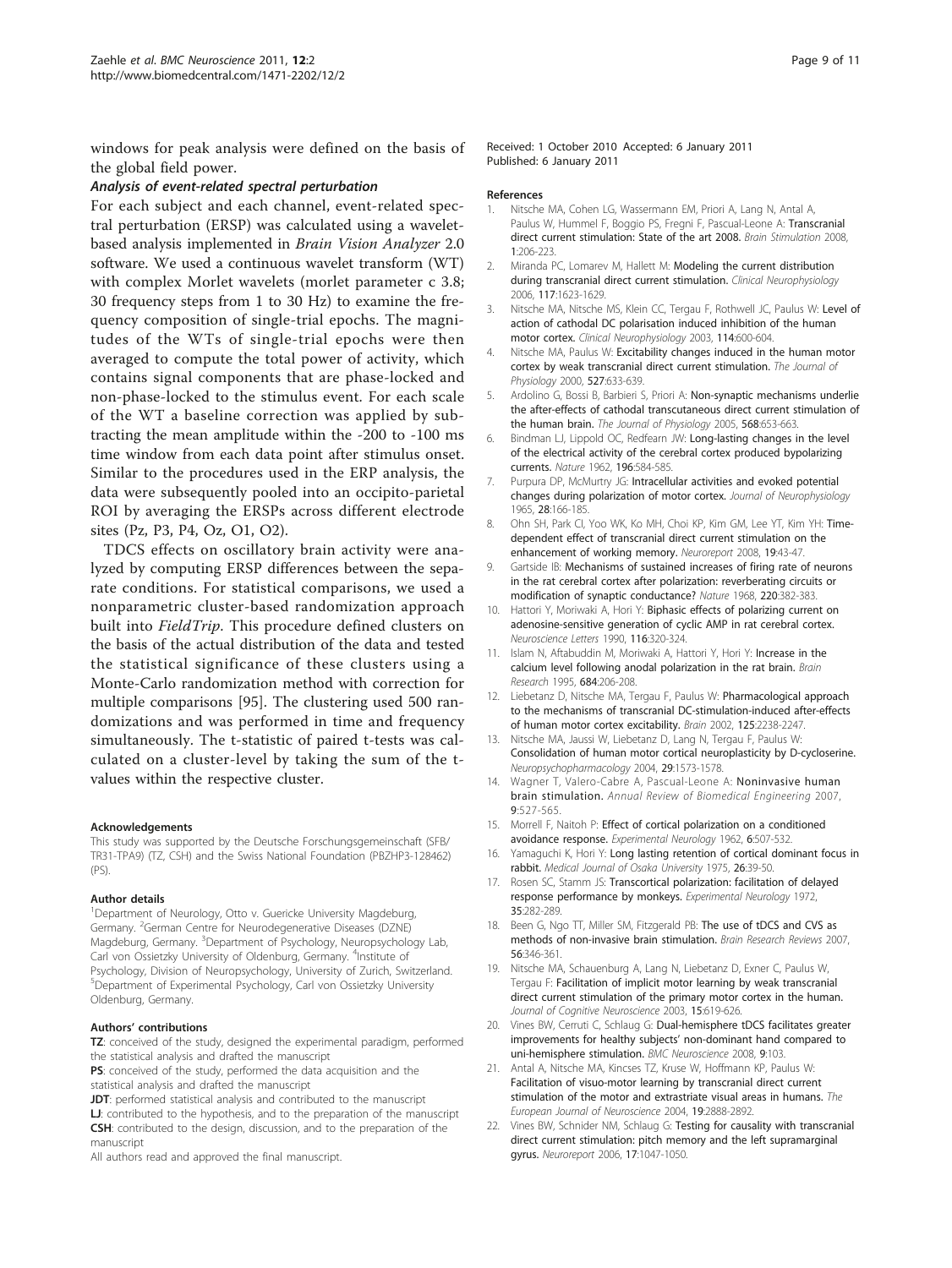<span id="page-8-0"></span>windows for peak analysis were defined on the basis of the global field power.

#### Analysis of event-related spectral perturbation

For each subject and each channel, event-related spectral perturbation (ERSP) was calculated using a waveletbased analysis implemented in Brain Vision Analyzer 2.0 software. We used a continuous wavelet transform (WT) with complex Morlet wavelets (morlet parameter c 3.8; 30 frequency steps from 1 to 30 Hz) to examine the frequency composition of single-trial epochs. The magnitudes of the WTs of single-trial epochs were then averaged to compute the total power of activity, which contains signal components that are phase-locked and non-phase-locked to the stimulus event. For each scale of the WT a baseline correction was applied by subtracting the mean amplitude within the -200 to -100 ms time window from each data point after stimulus onset. Similar to the procedures used in the ERP analysis, the data were subsequently pooled into an occipito-parietal ROI by averaging the ERSPs across different electrode sites (Pz, P3, P4, Oz, O1, O2).

TDCS effects on oscillatory brain activity were analyzed by computing ERSP differences between the separate conditions. For statistical comparisons, we used a nonparametric cluster-based randomization approach built into *FieldTrip*. This procedure defined clusters on the basis of the actual distribution of the data and tested the statistical significance of these clusters using a Monte-Carlo randomization method with correction for multiple comparisons [\[95\]](#page-10-0). The clustering used 500 randomizations and was performed in time and frequency simultaneously. The t-statistic of paired t-tests was calculated on a cluster-level by taking the sum of the tvalues within the respective cluster.

#### Acknowledgements

This study was supported by the Deutsche Forschungsgemeinschaft (SFB/ TR31-TPA9) (TZ, CSH) and the Swiss National Foundation (PBZHP3-128462) (PS).

#### Author details

<sup>1</sup>Department of Neurology, Otto v. Guericke University Magdeburg, Germany. <sup>2</sup>German Centre for Neurodegenerative Diseases (DZNE) Magdeburg, Germany. <sup>3</sup>Department of Psychology, Neuropsychology Lab, Carl von Ossietzky University of Oldenburg, Germany. <sup>4</sup>Institute of Psychology, Division of Neuropsychology, University of Zurich, Switzerland. 5 Department of Experimental Psychology, Carl von Ossietzky University Oldenburg, Germany.

#### Authors' contributions

TZ: conceived of the study, designed the experimental paradigm, performed the statistical analysis and drafted the manuscript

PS: conceived of the study, performed the data acquisition and the statistical analysis and drafted the manuscript

JDT: performed statistical analysis and contributed to the manuscript

LJ: contributed to the hypothesis, and to the preparation of the manuscript CSH: contributed to the design, discussion, and to the preparation of the manuscript

All authors read and approved the final manuscript.

Received: 1 October 2010 Accepted: 6 January 2011 Published: 6 January 2011

#### References

- 1. Nitsche MA, Cohen LG, Wassermann EM, Priori A, Lang N, Antal A, Paulus W, Hummel F, Boggio PS, Fregni F, Pascual-Leone A: [Transcranial](http://www.ncbi.nlm.nih.gov/pubmed/20633386?dopt=Abstract) [direct current stimulation: State of the art 2008.](http://www.ncbi.nlm.nih.gov/pubmed/20633386?dopt=Abstract) Brain Stimulation 2008, 1:206-223.
- 2. Miranda PC, Lomarev M, Hallett M: [Modeling the current distribution](http://www.ncbi.nlm.nih.gov/pubmed/16762592?dopt=Abstract) [during transcranial direct current stimulation.](http://www.ncbi.nlm.nih.gov/pubmed/16762592?dopt=Abstract) Clinical Neurophysiology 2006, 117:1623-1629.
- 3. Nitsche MA, Nitsche MS, Klein CC, Tergau F, Rothwell JC, Paulus W: [Level of](http://www.ncbi.nlm.nih.gov/pubmed/12686268?dopt=Abstract) [action of cathodal DC polarisation induced inhibition of the human](http://www.ncbi.nlm.nih.gov/pubmed/12686268?dopt=Abstract) [motor cortex.](http://www.ncbi.nlm.nih.gov/pubmed/12686268?dopt=Abstract) Clinical Neurophysiology 2003, 114:600-604.
- 4. Nitsche MA, Paulus W: [Excitability changes induced in the human motor](http://www.ncbi.nlm.nih.gov/pubmed/10990547?dopt=Abstract) [cortex by weak transcranial direct current stimulation.](http://www.ncbi.nlm.nih.gov/pubmed/10990547?dopt=Abstract) The Journal of Physiology 2000, 527:633-639.
- Ardolino G, Bossi B, Barbieri S, Priori A: [Non-synaptic mechanisms underlie](http://www.ncbi.nlm.nih.gov/pubmed/16037080?dopt=Abstract) [the after-effects of cathodal transcutaneous direct current stimulation of](http://www.ncbi.nlm.nih.gov/pubmed/16037080?dopt=Abstract) [the human brain.](http://www.ncbi.nlm.nih.gov/pubmed/16037080?dopt=Abstract) The Journal of Physiology 2005, 568:653-663.
- 6. Bindman LJ, Lippold OC, Redfearn JW: [Long-lasting changes in the level](http://www.ncbi.nlm.nih.gov/pubmed/13968314?dopt=Abstract) [of the electrical activity of the cerebral cortex produced bypolarizing](http://www.ncbi.nlm.nih.gov/pubmed/13968314?dopt=Abstract) [currents.](http://www.ncbi.nlm.nih.gov/pubmed/13968314?dopt=Abstract) Nature 1962, 196:584-585.
- 7. Purpura DP, McMurtry JG: [Intracellular activities and evoked potential](http://www.ncbi.nlm.nih.gov/pubmed/14244793?dopt=Abstract) [changes during polarization of motor cortex.](http://www.ncbi.nlm.nih.gov/pubmed/14244793?dopt=Abstract) Journal of Neurophysiology 1965, 28:166-185.
- 8. Ohn SH, Park CI, Yoo WK, Ko MH, Choi KP, Kim GM, Lee YT, Kim YH: [Time](http://www.ncbi.nlm.nih.gov/pubmed/18281890?dopt=Abstract)[dependent effect of transcranial direct current stimulation on the](http://www.ncbi.nlm.nih.gov/pubmed/18281890?dopt=Abstract) [enhancement of working memory.](http://www.ncbi.nlm.nih.gov/pubmed/18281890?dopt=Abstract) Neuroreport 2008, 19:43-47.
- 9. Gartside IB: [Mechanisms of sustained increases of firing rate of neurons](http://www.ncbi.nlm.nih.gov/pubmed/5684882?dopt=Abstract) [in the rat cerebral cortex after polarization: reverberating circuits or](http://www.ncbi.nlm.nih.gov/pubmed/5684882?dopt=Abstract) [modification of synaptic conductance?](http://www.ncbi.nlm.nih.gov/pubmed/5684882?dopt=Abstract) Nature 1968, 220:382-383.
- 10. Hattori Y, Moriwaki A, Hori Y: [Biphasic effects of polarizing current on](http://www.ncbi.nlm.nih.gov/pubmed/2173816?dopt=Abstract) [adenosine-sensitive generation of cyclic AMP in rat cerebral cortex.](http://www.ncbi.nlm.nih.gov/pubmed/2173816?dopt=Abstract) Neuroscience Letters 1990, 116:320-324.
- 11. Islam N, Aftabuddin M, Moriwaki A, Hattori Y, Hori Y: [Increase in the](http://www.ncbi.nlm.nih.gov/pubmed/7583224?dopt=Abstract) [calcium level following anodal polarization in the rat brain.](http://www.ncbi.nlm.nih.gov/pubmed/7583224?dopt=Abstract) Brain Research 1995, 684:206-208.
- 12. Liebetanz D, Nitsche MA, Tergau F, Paulus W: [Pharmacological approach](http://www.ncbi.nlm.nih.gov/pubmed/12244081?dopt=Abstract) [to the mechanisms of transcranial DC-stimulation-induced after-effects](http://www.ncbi.nlm.nih.gov/pubmed/12244081?dopt=Abstract) [of human motor cortex excitability.](http://www.ncbi.nlm.nih.gov/pubmed/12244081?dopt=Abstract) Brain 2002, 125:2238-2247.
- 13. Nitsche MA, Jaussi W, Liebetanz D, Lang N, Tergau F, Paulus W: [Consolidation of human motor cortical neuroplasticity by D-cycloserine.](http://www.ncbi.nlm.nih.gov/pubmed/15199378?dopt=Abstract) Neuropsychopharmacology 2004, 29:1573-1578.
- 14. Wagner T, Valero-Cabre A, Pascual-Leone A: [Noninvasive human](http://www.ncbi.nlm.nih.gov/pubmed/17444810?dopt=Abstract) [brain stimulation.](http://www.ncbi.nlm.nih.gov/pubmed/17444810?dopt=Abstract) Annual Review of Biomedical Engineering 2007, 9:527-565.
- 15. Morrell F, Naitoh P: Effect of cortical polarization on a conditioned avoidance response. Experimental Neurology 1962, 6:507-532.
- Yamaguchi K, Hori Y: [Long lasting retention of cortical dominant focus in](http://www.ncbi.nlm.nih.gov/pubmed/1228391?dopt=Abstract) [rabbit.](http://www.ncbi.nlm.nih.gov/pubmed/1228391?dopt=Abstract) Medical Journal of Osaka University 1975, 26:39-50.
- 17. Rosen SC, Stamm JS: [Transcortical polarization: facilitation of delayed](http://www.ncbi.nlm.nih.gov/pubmed/4624141?dopt=Abstract) [response performance by monkeys.](http://www.ncbi.nlm.nih.gov/pubmed/4624141?dopt=Abstract) Experimental Neurology 1972, 35:282-289.
- 18. Been G, Ngo TT, Miller SM, Fitzgerald PB: [The use of tDCS and CVS as](http://www.ncbi.nlm.nih.gov/pubmed/17900703?dopt=Abstract) [methods of non-invasive brain stimulation.](http://www.ncbi.nlm.nih.gov/pubmed/17900703?dopt=Abstract) Brain Research Reviews 2007, 56:346-361.
- 19. Nitsche MA, Schauenburg A, Lang N, Liebetanz D, Exner C, Paulus W, Tergau F: [Facilitation of implicit motor learning by weak transcranial](http://www.ncbi.nlm.nih.gov/pubmed/12803972?dopt=Abstract) [direct current stimulation of the primary motor cortex in the human.](http://www.ncbi.nlm.nih.gov/pubmed/12803972?dopt=Abstract) Journal of Cognitive Neuroscience 2003, 15:619-626.
- 20. Vines BW, Cerruti C, Schlaug G: [Dual-hemisphere tDCS facilitates greater](http://www.ncbi.nlm.nih.gov/pubmed/18957075?dopt=Abstract) [improvements for healthy subjects](http://www.ncbi.nlm.nih.gov/pubmed/18957075?dopt=Abstract)' non-dominant hand compared to [uni-hemisphere stimulation.](http://www.ncbi.nlm.nih.gov/pubmed/18957075?dopt=Abstract) BMC Neuroscience 2008, 9:103.
- 21. Antal A, Nitsche MA, Kincses TZ, Kruse W, Hoffmann KP, Paulus W: [Facilitation of visuo-motor learning by transcranial direct current](http://www.ncbi.nlm.nih.gov/pubmed/15147322?dopt=Abstract) [stimulation of the motor and extrastriate visual areas in humans.](http://www.ncbi.nlm.nih.gov/pubmed/15147322?dopt=Abstract) The European Journal of Neuroscience 2004, 19:2888-2892.
- 22. Vines BW, Schnider NM, Schlaug G: [Testing for causality with transcranial](http://www.ncbi.nlm.nih.gov/pubmed/16791101?dopt=Abstract) [direct current stimulation: pitch memory and the left supramarginal](http://www.ncbi.nlm.nih.gov/pubmed/16791101?dopt=Abstract) [gyrus.](http://www.ncbi.nlm.nih.gov/pubmed/16791101?dopt=Abstract) Neuroreport 2006, 17:1047-1050.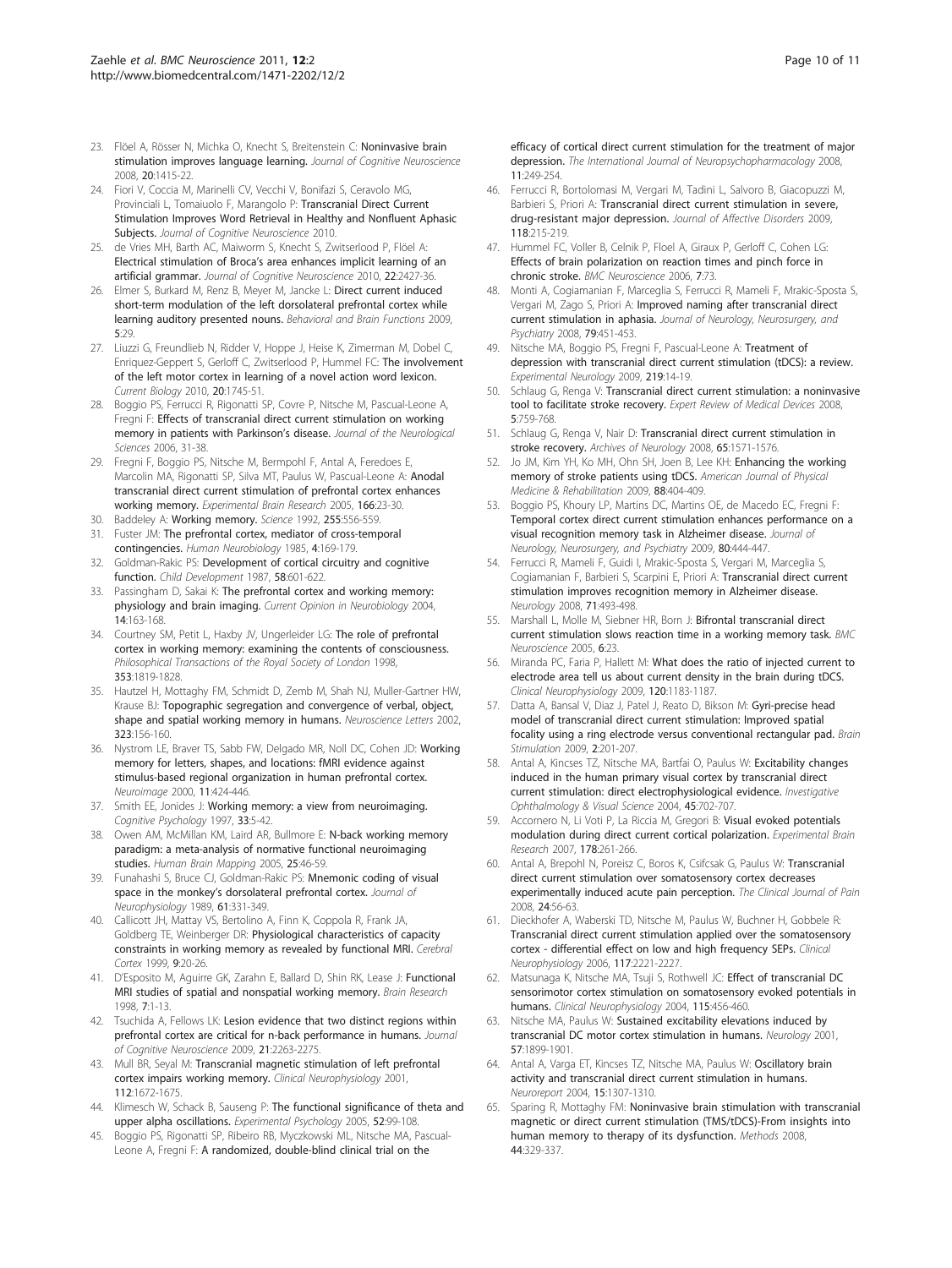- <span id="page-9-0"></span>23. Flöel A, Rösser N, Michka O, Knecht S, Breitenstein C: [Noninvasive brain](http://www.ncbi.nlm.nih.gov/pubmed/18303984?dopt=Abstract) [stimulation improves language learning.](http://www.ncbi.nlm.nih.gov/pubmed/18303984?dopt=Abstract) Journal of Cognitive Neuroscience 2008, 20:1415-22.
- 24. Fiori V, Coccia M, Marinelli CV, Vecchi V, Bonifazi S, Ceravolo MG, Provinciali L, Tomaiuolo F, Marangolo P: [Transcranial Direct Current](http://www.ncbi.nlm.nih.gov/pubmed/20946060?dopt=Abstract) [Stimulation Improves Word Retrieval in Healthy and Nonfluent Aphasic](http://www.ncbi.nlm.nih.gov/pubmed/20946060?dopt=Abstract) [Subjects.](http://www.ncbi.nlm.nih.gov/pubmed/20946060?dopt=Abstract) Journal of Cognitive Neuroscience 2010.
- 25. de Vries MH, Barth AC, Maiworm S, Knecht S, Zwitserlood P, Flöel A: Electrical stimulation of Broca'[s area enhances implicit learning of an](http://www.ncbi.nlm.nih.gov/pubmed/19925194?dopt=Abstract) [artificial grammar.](http://www.ncbi.nlm.nih.gov/pubmed/19925194?dopt=Abstract) Journal of Cognitive Neuroscience 2010, 22:2427-36.
- 26. Elmer S, Burkard M, Renz B, Meyer M, Jancke L: [Direct current induced](http://www.ncbi.nlm.nih.gov/pubmed/19604352?dopt=Abstract) [short-term modulation of the left dorsolateral prefrontal cortex while](http://www.ncbi.nlm.nih.gov/pubmed/19604352?dopt=Abstract) [learning auditory presented nouns.](http://www.ncbi.nlm.nih.gov/pubmed/19604352?dopt=Abstract) Behavioral and Brain Functions 2009, 5:29.
- 27. Liuzzi G, Freundlieb N, Ridder V, Hoppe J, Heise K, Zimerman M, Dobel C, Enriquez-Geppert S, Gerloff C, Zwitserlood P, Hummel FC: [The involvement](http://www.ncbi.nlm.nih.gov/pubmed/20888226?dopt=Abstract) [of the left motor cortex in learning of a novel action word lexicon.](http://www.ncbi.nlm.nih.gov/pubmed/20888226?dopt=Abstract) Current Biology 2010, 20:1745-51.
- 28. Boggio PS, Ferrucci R, Rigonatti SP, Covre P, Nitsche M, Pascual-Leone A, Fregni F: [Effects of transcranial direct current stimulation on working](http://www.ncbi.nlm.nih.gov/pubmed/16843494?dopt=Abstract) [memory in patients with Parkinson](http://www.ncbi.nlm.nih.gov/pubmed/16843494?dopt=Abstract)'s disease. Journal of the Neurological Sciences 2006, 31-38.
- 29. Fregni F, Boggio PS, Nitsche M, Bermpohl F, Antal A, Feredoes E, Marcolin MA, Rigonatti SP, Silva MT, Paulus W, Pascual-Leone A: Anodal transcranial direct current stimulation of prefrontal cortex enhances working memory. Experimental Brain Research 2005, 166:23-30.
- 30. Baddeley A: [Working memory.](http://www.ncbi.nlm.nih.gov/pubmed/1736359?dopt=Abstract) Science 1992, 255:556-559.
- 31. Fuster JM: [The prefrontal cortex, mediator of cross-temporal](http://www.ncbi.nlm.nih.gov/pubmed/3934116?dopt=Abstract) [contingencies.](http://www.ncbi.nlm.nih.gov/pubmed/3934116?dopt=Abstract) Human Neurobiology 1985, 4:169-179.
- 32. Goldman-Rakic PS: [Development of cortical circuitry and cognitive](http://www.ncbi.nlm.nih.gov/pubmed/3608641?dopt=Abstract) [function.](http://www.ncbi.nlm.nih.gov/pubmed/3608641?dopt=Abstract) Child Development 1987, 58:601-622.
- 33. Passingham D, Sakai K: [The prefrontal cortex and working memory:](http://www.ncbi.nlm.nih.gov/pubmed/15082320?dopt=Abstract) [physiology and brain imaging.](http://www.ncbi.nlm.nih.gov/pubmed/15082320?dopt=Abstract) Current Opinion in Neurobiology 2004, 14:163-168.
- 34. Courtney SM, Petit L, Haxby JV, Ungerleider LG: [The role of prefrontal](http://www.ncbi.nlm.nih.gov/pubmed/9854254?dopt=Abstract) [cortex in working memory: examining the contents of consciousness.](http://www.ncbi.nlm.nih.gov/pubmed/9854254?dopt=Abstract) Philosophical Transactions of the Royal Society of London 1998, 353:1819-1828.
- 35. Hautzel H, Mottaghy FM, Schmidt D, Zemb M, Shah NJ, Muller-Gartner HW, Krause BJ: [Topographic segregation and convergence of verbal, object,](http://www.ncbi.nlm.nih.gov/pubmed/11950516?dopt=Abstract) [shape and spatial working memory in humans.](http://www.ncbi.nlm.nih.gov/pubmed/11950516?dopt=Abstract) Neuroscience Letters 2002, 323:156-160.
- 36. Nystrom LE, Braver TS, Sabb FW, Delgado MR, Noll DC, Cohen JD: [Working](http://www.ncbi.nlm.nih.gov/pubmed/10806029?dopt=Abstract) [memory for letters, shapes, and locations: fMRI evidence against](http://www.ncbi.nlm.nih.gov/pubmed/10806029?dopt=Abstract) [stimulus-based regional organization in human prefrontal cortex.](http://www.ncbi.nlm.nih.gov/pubmed/10806029?dopt=Abstract) Neuroimage 2000, 11:424-446.
- 37. Smith EE, Jonides J: [Working memory: a view from neuroimaging.](http://www.ncbi.nlm.nih.gov/pubmed/9212720?dopt=Abstract) Cognitive Psychology 1997, 33:5-42.
- 38. Owen AM, McMillan KM, Laird AR, Bullmore E: [N-back working memory](http://www.ncbi.nlm.nih.gov/pubmed/15846822?dopt=Abstract) [paradigm: a meta-analysis of normative functional neuroimaging](http://www.ncbi.nlm.nih.gov/pubmed/15846822?dopt=Abstract) [studies.](http://www.ncbi.nlm.nih.gov/pubmed/15846822?dopt=Abstract) Human Brain Mapping 2005, 25:46-59.
- 39. Funahashi S, Bruce CJ, Goldman-Rakic PS: [Mnemonic coding of visual](http://www.ncbi.nlm.nih.gov/pubmed/2918358?dopt=Abstract) space in the monkey'[s dorsolateral prefrontal cortex.](http://www.ncbi.nlm.nih.gov/pubmed/2918358?dopt=Abstract) Journal of Neurophysiology 1989, 61:331-349.
- 40. Callicott JH, Mattay VS, Bertolino A, Finn K, Coppola R, Frank JA, Goldberg TE, Weinberger DR: [Physiological characteristics of capacity](http://www.ncbi.nlm.nih.gov/pubmed/10022492?dopt=Abstract) [constraints in working memory as revealed by functional MRI.](http://www.ncbi.nlm.nih.gov/pubmed/10022492?dopt=Abstract) Cerebral Cortex 1999, 9:20-26.
- 41. D'Esposito M, Aguirre GK, Zarahn E, Ballard D, Shin RK, Lease J: [Functional](http://www.ncbi.nlm.nih.gov/pubmed/9714705?dopt=Abstract) [MRI studies of spatial and nonspatial working memory.](http://www.ncbi.nlm.nih.gov/pubmed/9714705?dopt=Abstract) Brain Research 1998, 7:1-13.
- 42. Tsuchida A, Fellows LK: [Lesion evidence that two distinct regions within](http://www.ncbi.nlm.nih.gov/pubmed/19199405?dopt=Abstract) [prefrontal cortex are critical for n-back performance in humans.](http://www.ncbi.nlm.nih.gov/pubmed/19199405?dopt=Abstract) Journal of Cognitive Neuroscience 2009, 21:2263-2275.
- 43. Mull BR, Seyal M: [Transcranial magnetic stimulation of left prefrontal](http://www.ncbi.nlm.nih.gov/pubmed/11514250?dopt=Abstract) [cortex impairs working memory.](http://www.ncbi.nlm.nih.gov/pubmed/11514250?dopt=Abstract) Clinical Neurophysiology 2001, 112:1672-1675.
- 44. Klimesch W, Schack B, Sauseng P: [The functional significance of theta and](http://www.ncbi.nlm.nih.gov/pubmed/15850157?dopt=Abstract) [upper alpha oscillations.](http://www.ncbi.nlm.nih.gov/pubmed/15850157?dopt=Abstract) Experimental Psychology 2005, 52:99-108.
- 45. Boggio PS, Rigonatti SP, Ribeiro RB, Myczkowski ML, Nitsche MA, Pascual-Leone A, Fregni F: [A randomized, double-blind clinical trial on the](http://www.ncbi.nlm.nih.gov/pubmed/17559710?dopt=Abstract)

[efficacy of cortical direct current stimulation for the treatment of major](http://www.ncbi.nlm.nih.gov/pubmed/17559710?dopt=Abstract) [depression.](http://www.ncbi.nlm.nih.gov/pubmed/17559710?dopt=Abstract) The International Journal of Neuropsychopharmacology 2008, 11:249-254.

- 46. Ferrucci R, Bortolomasi M, Vergari M, Tadini L, Salvoro B, Giacopuzzi M, Barbieri S, Priori A: [Transcranial direct current stimulation in severe,](http://www.ncbi.nlm.nih.gov/pubmed/19286265?dopt=Abstract) [drug-resistant major depression.](http://www.ncbi.nlm.nih.gov/pubmed/19286265?dopt=Abstract) Journal of Affective Disorders 2009, 118:215-219.
- 47. Hummel FC, Voller B, Celnik P, Floel A, Giraux P, Gerloff C, Cohen LG: [Effects of brain polarization on reaction times and pinch force in](http://www.ncbi.nlm.nih.gov/pubmed/17083730?dopt=Abstract) [chronic stroke.](http://www.ncbi.nlm.nih.gov/pubmed/17083730?dopt=Abstract) BMC Neuroscience 2006, 7:73.
- 48. Monti A, Cogiamanian F, Marceglia S, Ferrucci R, Mameli F, Mrakic-Sposta S, Vergari M, Zago S, Priori A: [Improved naming after transcranial direct](http://www.ncbi.nlm.nih.gov/pubmed/18096677?dopt=Abstract) [current stimulation in aphasia.](http://www.ncbi.nlm.nih.gov/pubmed/18096677?dopt=Abstract) Journal of Neurology, Neurosurgery, and Psychiatry 2008, 79:451-453.
- 49. Nitsche MA, Boggio PS, Fregni F, Pascual-Leone A: [Treatment](http://www.ncbi.nlm.nih.gov/pubmed/19348793?dopt=Abstract) of [depression with transcranial direct current stimulation \(tDCS\): a review.](http://www.ncbi.nlm.nih.gov/pubmed/19348793?dopt=Abstract) Experimental Neurology 2009, 219:14-19.
- 50. Schlaug G, Renga V: [Transcranial direct current stimulation: a noninvasive](http://www.ncbi.nlm.nih.gov/pubmed/19025351?dopt=Abstract) [tool to facilitate stroke recovery.](http://www.ncbi.nlm.nih.gov/pubmed/19025351?dopt=Abstract) Expert Review of Medical Devices 2008, 5:759-768.
- 51. Schlaug G, Renga V, Nair D: [Transcranial direct current stimulation in](http://www.ncbi.nlm.nih.gov/pubmed/19064743?dopt=Abstract) [stroke recovery.](http://www.ncbi.nlm.nih.gov/pubmed/19064743?dopt=Abstract) Archives of Neurology 2008, 65:1571-1576.
- 52. Jo JM, Kim YH, Ko MH, Ohn SH, Joen B, Lee KH: Enhancing the working memory of stroke patients using tDCS. American Journal of Physical Medicine & Rehabilitation 2009, 88:404-409.
- 53. Boggio PS, Khoury LP, Martins DC, Martins OE, de Macedo EC, Fregni F: [Temporal cortex direct current stimulation enhances performance on a](http://www.ncbi.nlm.nih.gov/pubmed/18977813?dopt=Abstract) [visual recognition memory task in Alzheimer disease.](http://www.ncbi.nlm.nih.gov/pubmed/18977813?dopt=Abstract) Journal of Neurology, Neurosurgery, and Psychiatry 2009, 80:444-447.
- 54. Ferrucci R, Mameli F, Guidi I, Mrakic-Sposta S, Vergari M, Marceglia S, Cogiamanian F, Barbieri S, Scarpini E, Priori A: [Transcranial direct current](http://www.ncbi.nlm.nih.gov/pubmed/18525028?dopt=Abstract) [stimulation improves recognition memory in Alzheimer disease.](http://www.ncbi.nlm.nih.gov/pubmed/18525028?dopt=Abstract) Neurology 2008, 71:493-498.
- 55. Marshall L, Molle M, Siebner HR, Born J: [Bifrontal transcranial direct](http://www.ncbi.nlm.nih.gov/pubmed/15819988?dopt=Abstract) [current stimulation slows reaction time in a working memory task.](http://www.ncbi.nlm.nih.gov/pubmed/15819988?dopt=Abstract) BMC Neuroscience 2005, 6:23.
- 56. Miranda PC, Faria P, Hallett M: [What does the ratio of injected current to](http://www.ncbi.nlm.nih.gov/pubmed/19423386?dopt=Abstract) [electrode area tell us about current density in the brain during tDCS.](http://www.ncbi.nlm.nih.gov/pubmed/19423386?dopt=Abstract) Clinical Neurophysiology 2009, 120:1183-1187.
- 57. Datta A, Bansal V, Diaz J, Patel J, Reato D, Bikson M: Gyri-precise head model of transcranial direct current stimulation: Improved spatial focality using a ring electrode versus conventional rectangular pad. Brain Stimulation 2009, 2:201-207.
- 58. Antal A, Kincses TZ, Nitsche MA, Bartfai O, Paulus W: Excitability changes induced in the human primary visual cortex by transcranial direct current stimulation: direct electrophysiological evidence. Investigative Ophthalmology & Visual Science 2004, 45:702-707.
- 59. Accornero N, Li Voti P, La Riccia M, Gregori B: Visual evoked potentials modulation during direct current cortical polarization. Experimental Brain Research 2007, 178:261-266.
- 60. Antal A, Brepohl N, Poreisz C, Boros K, Csifcsak G, Paulus W: [Transcranial](http://www.ncbi.nlm.nih.gov/pubmed/18180638?dopt=Abstract) [direct current stimulation over somatosensory cortex decreases](http://www.ncbi.nlm.nih.gov/pubmed/18180638?dopt=Abstract) [experimentally induced acute pain perception.](http://www.ncbi.nlm.nih.gov/pubmed/18180638?dopt=Abstract) The Clinical Journal of Pain 2008, 24:56-63.
- 61. Dieckhofer A, Waberski TD, Nitsche M, Paulus W, Buchner H, Gobbele R: [Transcranial direct current stimulation applied over the somatosensory](http://www.ncbi.nlm.nih.gov/pubmed/16931142?dopt=Abstract) [cortex - differential effect on low and high frequency SEPs.](http://www.ncbi.nlm.nih.gov/pubmed/16931142?dopt=Abstract) Clinical Neurophysiology 2006, 117:2221-2227.
- 62. Matsunaga K, Nitsche MA, Tsuji S, Rothwell JC: [Effect of transcranial DC](http://www.ncbi.nlm.nih.gov/pubmed/14744588?dopt=Abstract) [sensorimotor cortex stimulation on somatosensory evoked potentials in](http://www.ncbi.nlm.nih.gov/pubmed/14744588?dopt=Abstract) [humans.](http://www.ncbi.nlm.nih.gov/pubmed/14744588?dopt=Abstract) Clinical Neurophysiology 2004, 115:456-460.
- 63. Nitsche MA, Paulus W: [Sustained excitability elevations induced by](http://www.ncbi.nlm.nih.gov/pubmed/11723286?dopt=Abstract) [transcranial DC motor cortex stimulation in humans.](http://www.ncbi.nlm.nih.gov/pubmed/11723286?dopt=Abstract) Neurology 2001, 57:1899-1901.
- Antal A, Varga ET, Kincses TZ, Nitsche MA, Paulus W: [Oscillatory brain](http://www.ncbi.nlm.nih.gov/pubmed/15167555?dopt=Abstract) [activity and transcranial direct current stimulation in humans.](http://www.ncbi.nlm.nih.gov/pubmed/15167555?dopt=Abstract) Neuroreport 2004, 15:1307-1310.
- 65. Sparing R, Mottaghy FM: [Noninvasive brain stimulation with transcranial](http://www.ncbi.nlm.nih.gov/pubmed/18374276?dopt=Abstract) [magnetic or direct current stimulation \(TMS/tDCS\)-From insights into](http://www.ncbi.nlm.nih.gov/pubmed/18374276?dopt=Abstract) [human memory to therapy of its dysfunction.](http://www.ncbi.nlm.nih.gov/pubmed/18374276?dopt=Abstract) Methods 2008, 44:329-337.